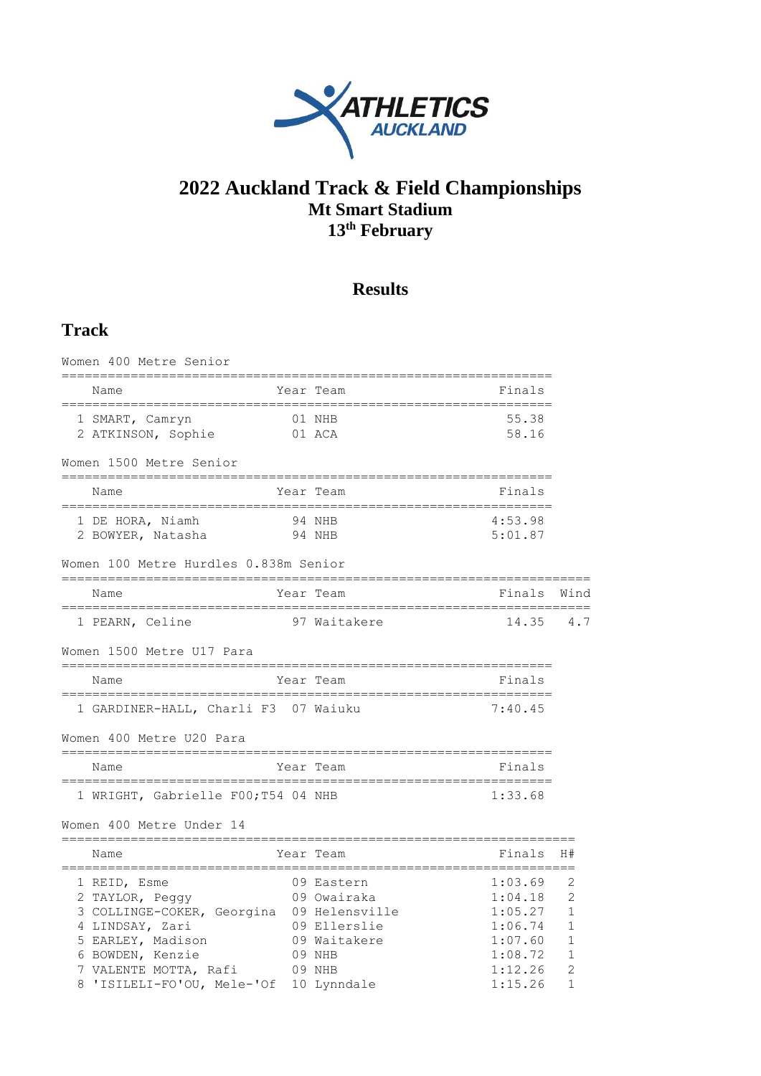

# **2022 Auckland Track & Field Championships Mt Smart Stadium 13 th February**

# **Results**

# **Track**

| Women 400 Metre Senior                                                                                                                                            |                                                                               |                                                                           |                                                                               |
|-------------------------------------------------------------------------------------------------------------------------------------------------------------------|-------------------------------------------------------------------------------|---------------------------------------------------------------------------|-------------------------------------------------------------------------------|
| Name                                                                                                                                                              | Year Team                                                                     | Finals                                                                    |                                                                               |
| 1 SMART, Camryn<br>2 ATKINSON, Sophie                                                                                                                             | 01 NHB<br>01 ACA                                                              | 55.38<br>58.16                                                            |                                                                               |
| Women 1500 Metre Senior                                                                                                                                           |                                                                               |                                                                           |                                                                               |
| Name                                                                                                                                                              | Year Team                                                                     | Finals                                                                    |                                                                               |
| 1 DE HORA, Niamh<br>2 BOWYER, Natasha                                                                                                                             | 94 NHB<br>94 NHB                                                              | 4:53.98<br>5:01.87                                                        |                                                                               |
| Women 100 Metre Hurdles 0.838m Senior                                                                                                                             |                                                                               |                                                                           |                                                                               |
| Name                                                                                                                                                              | Year Team                                                                     | Finals                                                                    | Wind                                                                          |
| 1 PEARN, Celine                                                                                                                                                   | 97 Waitakere                                                                  | 14.35                                                                     | 4.7                                                                           |
| Women 1500 Metre U17 Para                                                                                                                                         |                                                                               |                                                                           |                                                                               |
| Name                                                                                                                                                              | Year Team                                                                     | Finals                                                                    |                                                                               |
| 1 GARDINER-HALL, Charli F3 07 Waiuku                                                                                                                              |                                                                               | 7:40.45                                                                   |                                                                               |
| Women 400 Metre U20 Para                                                                                                                                          |                                                                               |                                                                           |                                                                               |
| Name                                                                                                                                                              | Year Team                                                                     | Finals                                                                    |                                                                               |
| 1 WRIGHT, Gabrielle F00; T54 04 NHB                                                                                                                               |                                                                               | 1:33.68                                                                   |                                                                               |
| Women 400 Metre Under 14                                                                                                                                          |                                                                               |                                                                           |                                                                               |
| Name                                                                                                                                                              | Year Team                                                                     | Finals                                                                    | H#                                                                            |
| 1 REID, Esme<br>2 TAYLOR, Peggy<br>3 COLLINGE-COKER, Georgina 09 Helensville<br>4 LINDSAY, Zari<br>5 EARLEY, Madison<br>6 BOWDEN, Kenzie<br>7 VALENTE MOTTA, Rafi | 09 Eastern<br>09 Owairaka<br>09 Ellerslie<br>09 Waitakere<br>09 NHB<br>09 NHB | 1:03.69<br>1:04.18<br>1:05.27<br>1:06.74<br>1:07.60<br>1:08.72<br>1:12.26 | 2<br>$\overline{2}$<br>$\mathbf{1}$<br>1<br>$\mathbf{1}$<br>$\mathbf{1}$<br>2 |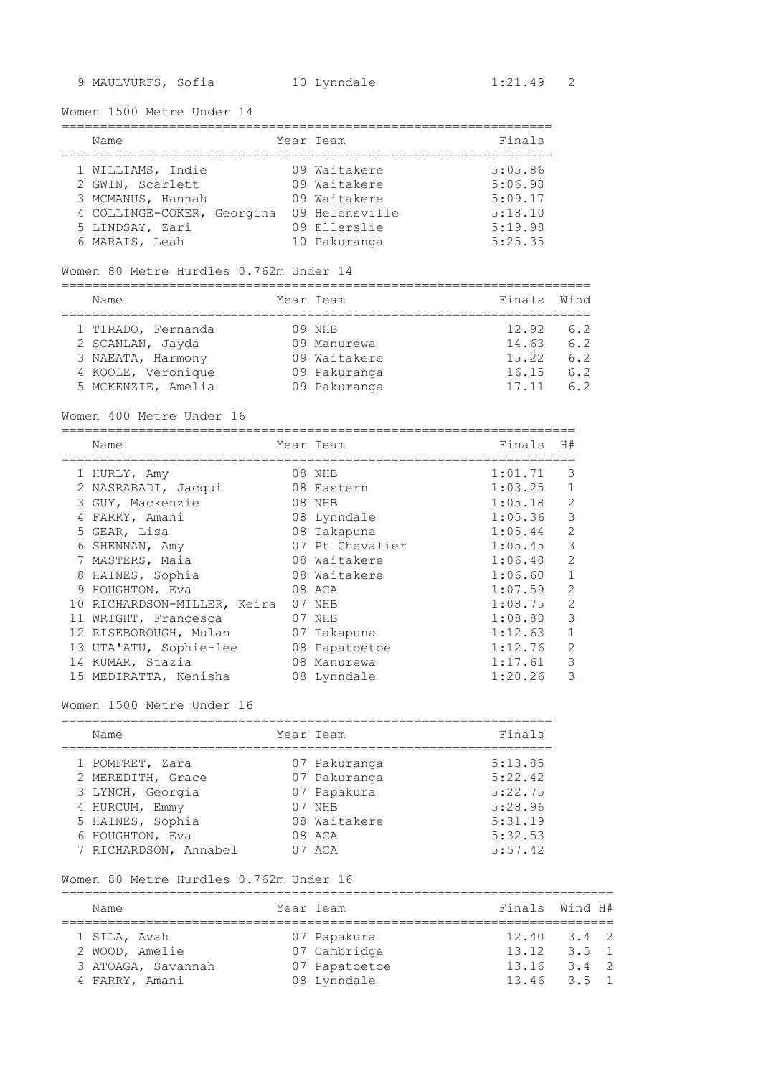Women 1500 Metre Under 14

| Name                       | Year Team      | Finals  |
|----------------------------|----------------|---------|
| 1 WILLIAMS, Indie          | 09 Waitakere   | 5:05.86 |
| 2 GWIN, Scarlett           | 09 Waitakere   | 5:06.98 |
| 3 MCMANUS, Hannah          | 09 Waitakere   | 5:09.17 |
| 4 COLLINGE-COKER, Georgina | 09 Helensville | 5:18.10 |
| 5 LINDSAY, Zari            | 09 Ellerslie   | 5:19.98 |
| 6 MARAIS, Leah             | 10 Pakuranga   | 5:25.35 |

#### Women 80 Metre Hurdles 0.762m Under 14

===================================================================== Name Year Team Finals Wind

| 1 TIRADO, Fernanda | 09 NHB       | 12.92 | 6.2 |
|--------------------|--------------|-------|-----|
| 2 SCANLAN, Jayda   | 09 Manurewa  | 14.63 | 6.2 |
| 3 NAEATA, Harmony  | 09 Waitakere | 15.22 | 6.2 |
| 4 KOOLE, Veronique | 09 Pakuranga | 16.15 | 6.2 |
| 5 MCKENZIE, Amelia | 09 Pakuranga | 17.11 | 6.2 |

#### Women 400 Metre Under 16

|   | Name                        |    | Year Team       | Finals  | H#             |
|---|-----------------------------|----|-----------------|---------|----------------|
|   | 1 HURLY, Amy                |    | 08 NHB          | 1:01.71 | 3              |
|   | 2 NASRABADI, Jacqui         |    | 08 Eastern      | 1:03.25 |                |
|   | 3 GUY, Mackenzie            |    | 08 NHB          | 1:05.18 | $\mathfrak{D}$ |
|   | FARRY, Amani                |    | 08 Lynndale     | 1:05.36 | 3              |
|   | 5 GEAR, Lisa                |    | 08 Takapuna     | 1:05.44 | $\mathcal{L}$  |
|   | 6 SHENNAN, Amy              |    | 07 Pt Chevalier | 1:05.45 | 3              |
|   | 7 MASTERS, Maia             |    | 08 Waitakere    | 1:06.48 | $\mathcal{L}$  |
| 8 | HAINES, Sophia              |    | 08 Waitakere    | 1:06.60 |                |
|   | 9 HOUGHTON, Eva             |    | 08 ACA          | 1:07.59 | $\mathcal{L}$  |
|   | 10 RICHARDSON-MILLER, Keira |    | 07 NHB          | 1:08.75 | $\overline{2}$ |
|   | 11 WRIGHT, Francesca        | 07 | NHB             | 1:08.80 | 3              |
|   | 12 RISEBOROUGH, Mulan       |    | 07 Takapuna     | 1:12.63 | 1              |
|   | 13 UTA'ATU, Sophie-lee      |    | 08 Papatoetoe   | 1:12.76 | $\mathfrak{D}$ |
|   | 14 KUMAR, Stazia            | 08 | Manurewa        | 1:17.61 | 3              |
|   | 15 MEDIRATTA, Kenisha       |    | 08 Lynndale     | 1:20.26 | 3              |

## Women 1500 Metre Under 16

| Name                  | Year Team    | Finals  |
|-----------------------|--------------|---------|
| 1 POMFRET, Zara       | 07 Pakuranga | 5:13.85 |
| 2 MEREDITH, Grace     | 07 Pakuranga | 5:22.42 |
| 3 LYNCH, Georgia      | 07 Papakura  | 5:22.75 |
| 4 HURCUM, Emmy        | 07 NHB       | 5:28.96 |
| 5 HAINES, Sophia      | 08 Waitakere | 5:31.19 |
| 6 HOUGHTON, Eva       | 08 ACA       | 5:32.53 |
| 7 RICHARDSON, Annabel | 07 ACA       | 5:57.42 |

## Women 80 Metre Hurdles 0.762m Under 16

| Name                                 | Year Team |                              | Finals Wind H#           |               |  |
|--------------------------------------|-----------|------------------------------|--------------------------|---------------|--|
| 1 SILA, Avah<br>2 WOOD, Amelie       |           | 07 Papakura<br>07 Cambridge  | $12.40$ $3.4$ 2<br>13.12 | $3.5 \quad 1$ |  |
| 3 ATOAGA, Savannah<br>4 FARRY, Amani |           | 07 Papatoetoe<br>08 Lynndale | 13.16<br>$13.46$ $3.5$ 1 | $3.4 \quad 2$ |  |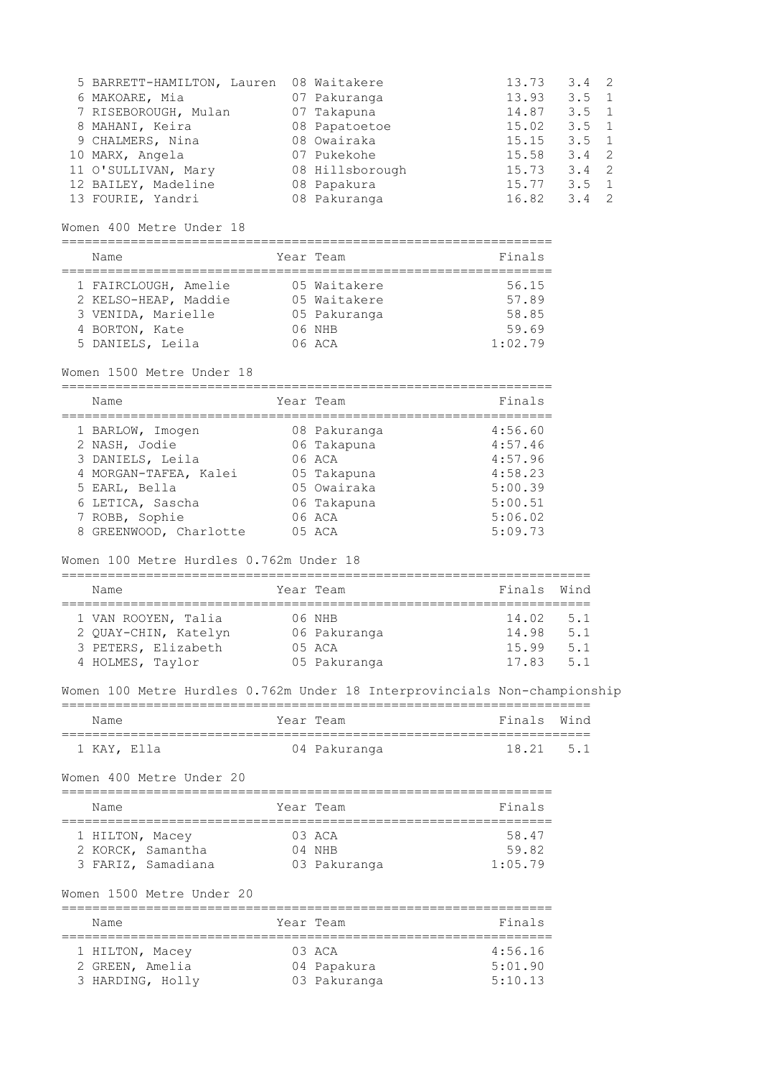| 5 BARRETT-HAMILTON, Lauren | 08 Waitakere    | 13.73 | $3.4 \quad 2$ |  |
|----------------------------|-----------------|-------|---------------|--|
| 6 MAKOARE, Mia             | 07 Pakuranga    | 13.93 | $3.5 \quad 1$ |  |
| 7 RISEBOROUGH, Mulan       | 07 Takapuna     | 14.87 | $3.5 \quad 1$ |  |
| 8 MAHANI, Keira            | 08 Papatoetoe   | 15.02 | $3.5 \quad 1$ |  |
| 9 CHALMERS, Nina           | 08 Owairaka     | 15.15 | $3.5 \quad 1$ |  |
| 10 MARX, Angela            | 07 Pukekohe     | 15.58 | $3.4 \quad 2$ |  |
| 11 O'SULLIVAN, Mary        | 08 Hillsborough | 15.73 | $3.4 \quad 2$ |  |
| 12 BAILEY, Madeline        | 08 Papakura     | 15.77 | $3.5 \quad 1$ |  |
| 13 FOURIE, Yandri          | 08 Pakuranga    | 16.82 | 3.4           |  |

## Women 400 Metre Under 18

================================================================

| Name                 | Year Team    | Finals  |
|----------------------|--------------|---------|
| 1 FAIRCLOUGH, Amelie | 05 Waitakere | 56.15   |
| 2 KELSO-HEAP, Maddie | 05 Waitakere | 57.89   |
| 3 VENIDA, Marielle   | 05 Pakuranga | 58.85   |
| 4 BORTON, Kate       | 06 NHB       | 59.69   |
| 5 DANIELS, Leila     | 06 ACA       | 1:02.79 |

## Women 1500 Metre Under 18

| Name                   | Year Team    | Finals  |
|------------------------|--------------|---------|
| 1 BARLOW, Imogen       | 08 Pakuranga | 4:56.60 |
| 2 NASH, Jodie          | 06 Takapuna  | 4:57.46 |
| 3 DANIELS, Leila       | $06$ $ACA$   | 4:57.96 |
| 4 MORGAN-TAFEA, Kalei  | 05 Takapuna  | 4:58.23 |
| 5 EARL, Bella          | 05 Owairaka  | 5:00.39 |
| 6 LETICA, Sascha       | 06 Takapuna  | 5:00.51 |
| 7 ROBB, Sophie         | 06 ACA       | 5:06.02 |
| 8 GREENWOOD, Charlotte | $05$ ACA     | 5:09.73 |

## Women 100 Metre Hurdles 0.762m Under 18

=====================================================================

| Name |                                                                    | Year Team                          | Finals Wind             |                   |
|------|--------------------------------------------------------------------|------------------------------------|-------------------------|-------------------|
|      | 1 VAN ROOYEN, Talia<br>2 QUAY-CHIN, Katelyn<br>3 PETERS, Elizabeth | 06 NHB<br>06 Pakuranga<br>$05$ ACA | 14.02<br>14.98<br>15.99 | 5.1<br>5.1<br>5.1 |
|      | 4 HOLMES, Taylor                                                   | 05 Pakuranga                       | 17.83                   | 5.1               |

# Women 100 Metre Hurdles 0.762m Under 18 Interprovincials Non-championship

| Name |             | Year Team    | Finals Wind |  |
|------|-------------|--------------|-------------|--|
|      |             |              |             |  |
|      | 1 KAY, Ella | 04 Pakuranga | $18.21$ 5.1 |  |

#### Women 400 Metre Under 20

| Name                                 | Year Team           | Finals         |
|--------------------------------------|---------------------|----------------|
| 1 HILTON, Macey<br>2 KORCK, Samantha | $0.3$ ACA<br>04 NHR | 58.47<br>59.82 |
| 3 FARIZ, Samadiana                   | 03 Pakuranga        | 1:05.79        |

#### Women 1500 Metre Under 20

| Name             | Year Team    | Finals  |
|------------------|--------------|---------|
| 1 HILTON, Macey  | $0.3$ ACA    | 4:56.16 |
| 2 GREEN, Amelia  | 04 Papakura  | 5:01.90 |
| 3 HARDING, Holly | 03 Pakuranga | 5:10.13 |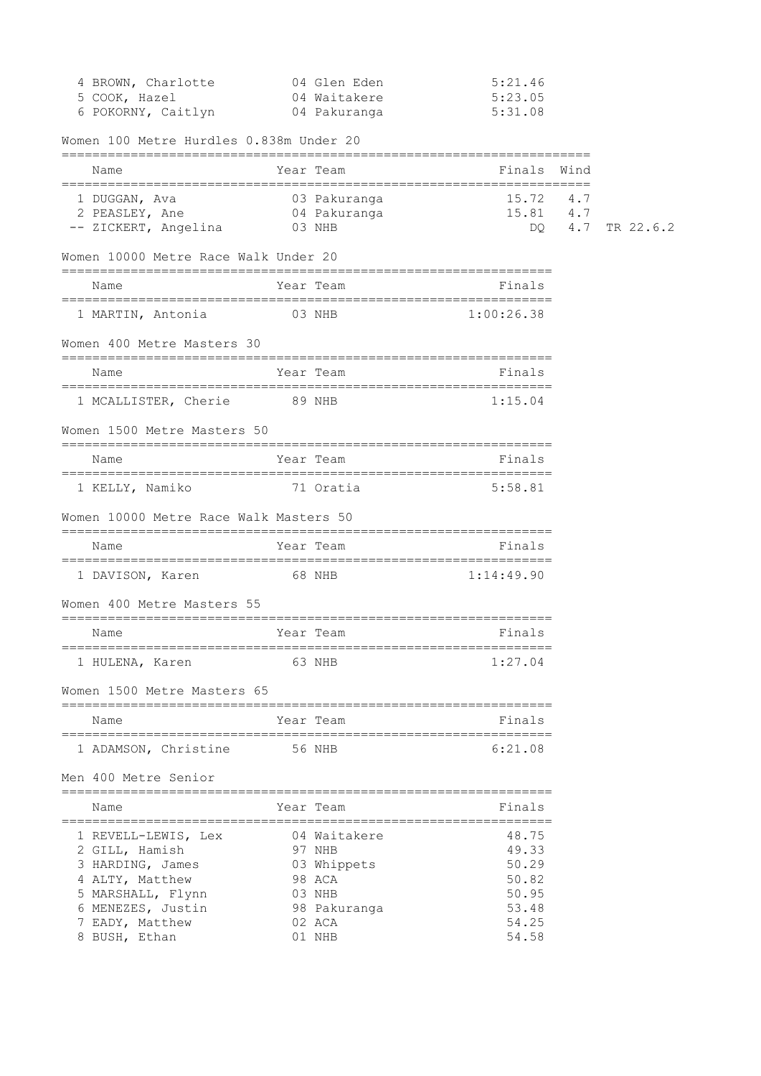| 4 BROWN, Charlotte | 04 Glen Eden | 5:21.46 |
|--------------------|--------------|---------|
| 5 COOK, Hazel      | 04 Waitakere | 5:23.05 |
| 6 POKORNY, Caitlyn | 04 Pakuranga | 5:31.08 |

Women 100 Metre Hurdles 0.838m Under 20

| Name                                                                    |        | Year Team    | Finals                                             | Wind |               |
|-------------------------------------------------------------------------|--------|--------------|----------------------------------------------------|------|---------------|
| 03 Pakuranga<br>1 DUGGAN, Ava<br>2 PEASLEY, Ane<br>-- ZICKERT, Angelina | 03 NHB | 04 Pakuranga | 15.72<br>$15.81$ 4.7<br>DQ.                        | 4.7  | 4.7 TR 22.6.2 |
| Women 10000 Metre Race Walk Under 20                                    |        |              |                                                    |      |               |
| Name                                                                    |        | Year Team    | Finals                                             |      |               |
| 1 MARTIN, Antonia 03 NHB                                                |        |              | 1:00:26.38                                         |      |               |
| Women 400 Metre Masters 30                                              |        |              |                                                    |      |               |
| Name                                                                    |        | Year Team    | Finals                                             |      |               |
| 1 MCALLISTER, Cherie                                                    | 89 NHB |              | 1:15.04                                            |      |               |
| Women 1500 Metre Masters 50                                             |        |              |                                                    |      |               |
| Name                                                                    |        | Year Team    | Finals                                             |      |               |
| 71 Oratia<br>1 KELLY, Namiko                                            |        |              | 5:58.81                                            |      |               |
| Women 10000 Metre Race Walk Masters 50                                  |        |              |                                                    |      |               |
| Name                                                                    |        | Year Team    | Finals                                             |      |               |
| 1 DAVISON, Karen 68 NHB                                                 |        |              | 1:14:49.90                                         |      |               |
| Women 400 Metre Masters 55                                              |        |              |                                                    |      |               |
| Name                                                                    |        | Year Team    | Finals                                             |      |               |
| 1 HULENA, Karen                                                         |        | 63 NHB       | 1:27.04                                            |      |               |
| Women 1500 Metre Masters 65                                             |        |              |                                                    |      |               |
| Name                                                                    |        |              | <b>Example 2</b> Year Team and the State of Pinals |      |               |
| 1 ADAMSON, Christine 56 NHB                                             |        |              | 6:21.08                                            |      |               |
| Men 400 Metre Senior                                                    |        |              |                                                    |      |               |
| Name                                                                    |        | Year Team    | Finals                                             |      |               |
| 1 REVELL-LEWIS, Lex                                                     |        | 04 Waitakere | 48.75                                              |      |               |
| 2 GILL, Hamish                                                          |        | 97 NHB       | 49.33                                              |      |               |
| 3 HARDING, James                                                        |        | 03 Whippets  | 50.29                                              |      |               |
| 4 ALTY, Matthew                                                         |        | 98 ACA       | 50.82                                              |      |               |
| 5 MARSHALL, Flynn                                                       |        | 03 NHB       | 50.95                                              |      |               |
| 6 MENEZES, Justin                                                       |        | 98 Pakuranga | 53.48                                              |      |               |
| 7 EADY, Matthew                                                         |        | 02 ACA       | 54.25                                              |      |               |
| 8 BUSH, Ethan                                                           |        | 01 NHB       | 54.58                                              |      |               |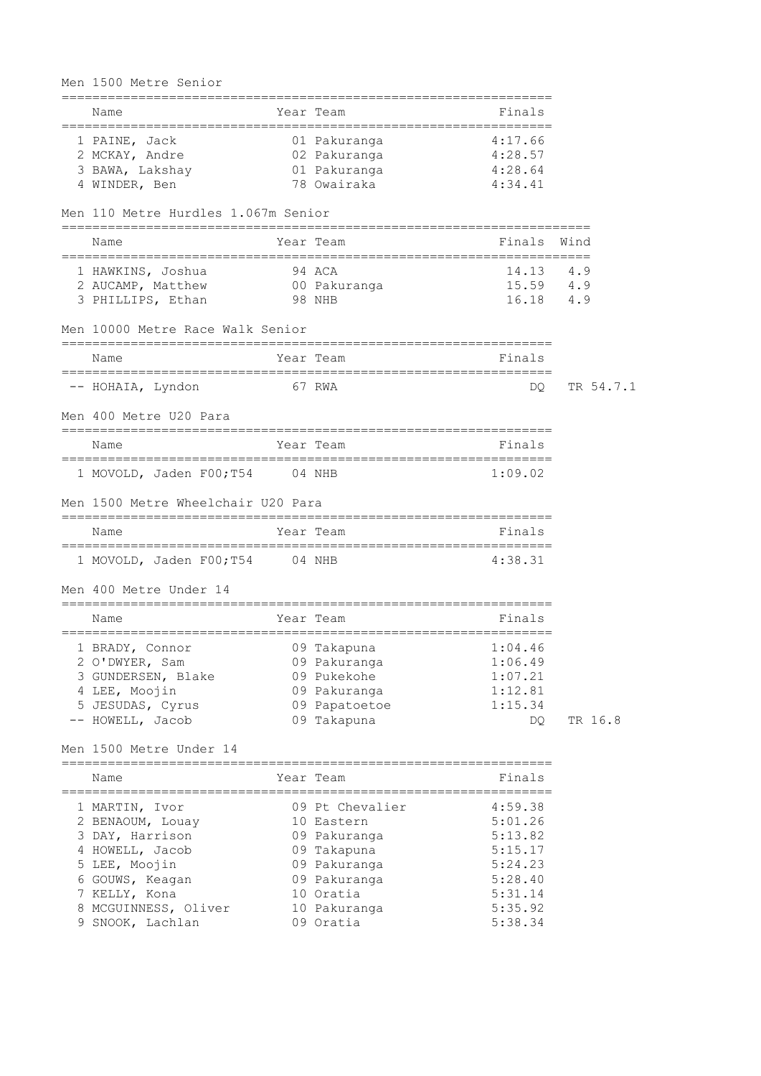# Men 1500 Metre Senior

| Name                                |        | Year Team       | Finals    |           |
|-------------------------------------|--------|-----------------|-----------|-----------|
| 1 PAINE, Jack                       |        | 01 Pakuranga    | 4:17.66   |           |
| 2 MCKAY, Andre                      |        | 02 Pakuranga    | 4:28.57   |           |
| 3 BAWA, Lakshay                     |        | 01 Pakuranga    | 4:28.64   |           |
| 4 WINDER, Ben                       |        | 78 Owairaka     | 4:34.41   |           |
| Men 110 Metre Hurdles 1.067m Senior |        |                 |           |           |
| Name                                |        | Year Team       | Finals    | Wind      |
| 1 HAWKINS, Joshua                   | 94 ACA |                 | 14.13 4.9 |           |
| 2 AUCAMP, Matthew                   |        | 00 Pakuranga    | 15.59 4.9 |           |
| 3 PHILLIPS, Ethan                   | 98 NHB |                 | 16.18 4.9 |           |
| Men 10000 Metre Race Walk Senior    |        |                 |           |           |
| Name                                |        | Year Team       | Finals    |           |
| -- HOHAIA, Lyndon                   |        | 67 RWA          | DQ.       | TR 54.7.1 |
| Men 400 Metre U20 Para              |        |                 |           |           |
| Name                                |        | Year Team       | Finals    |           |
| 1 MOVOLD, Jaden F00;T54 04 NHB      |        |                 | 1:09.02   |           |
| Men 1500 Metre Wheelchair U20 Para  |        |                 |           |           |
| Name                                |        | Year Team       | Finals    |           |
| 1 MOVOLD, Jaden F00; T54 04 NHB     |        |                 | 4:38.31   |           |
| Men 400 Metre Under 14              |        |                 |           |           |
| Name                                |        | Year Team       | Finals    |           |
| 1 BRADY, Connor                     |        | 09 Takapuna     | 1:04.46   |           |
| 2 O'DWYER, Sam                      |        | 09 Pakuranga    | 1:06.49   |           |
| 3 GUNDERSEN, Blake                  |        | 09 Pukekohe     | 1:07.21   |           |
| 4 LEE, Moojin                       |        | 09 Pakuranga    | 1:12.81   |           |
| 5 JESUDAS, Cyrus                    |        | 09 Papatoetoe   | 1:15.34   |           |
| -- HOWELL, Jacob                    |        | 09 Takapuna     | DQ.       | TR 16.8   |
| Men 1500 Metre Under 14             |        |                 |           |           |
| Name                                |        | Year Team       | Finals    |           |
| 1 MARTIN, Ivor                      |        | 09 Pt Chevalier | 4:59.38   |           |
| 2 BENAOUM, Louay                    |        | 10 Eastern      | 5:01.26   |           |
| 3 DAY, Harrison                     |        | 09 Pakuranga    | 5:13.82   |           |
| 4 HOWELL, Jacob                     |        | 09 Takapuna     | 5:15.17   |           |
| 5 LEE, Moojin                       |        | 09 Pakuranga    | 5:24.23   |           |

| Name                 | Year Team       | Finals  |
|----------------------|-----------------|---------|
| 1 MARTIN, Ivor       | 09 Pt Chevalier | 4:59.38 |
| 2 BENAOUM, Louay     | 10 Eastern      | 5:01.26 |
| 3 DAY, Harrison      | 09 Pakuranga    | 5:13.82 |
| 4 HOWELL, Jacob      | 09 Takapuna     | 5:15.17 |
| 5 LEE, Moojin        | 09 Pakuranga    | 5:24.23 |
| 6 GOUWS, Keagan      | 09 Pakuranga    | 5:28.40 |
| 7 KELLY, Kona        | 10 Oratia       | 5:31.14 |
| 8 MCGUINNESS, Oliver | 10 Pakuranga    | 5:35.92 |
| 9 SNOOK, Lachlan     | 09 Oratia       | 5:38.34 |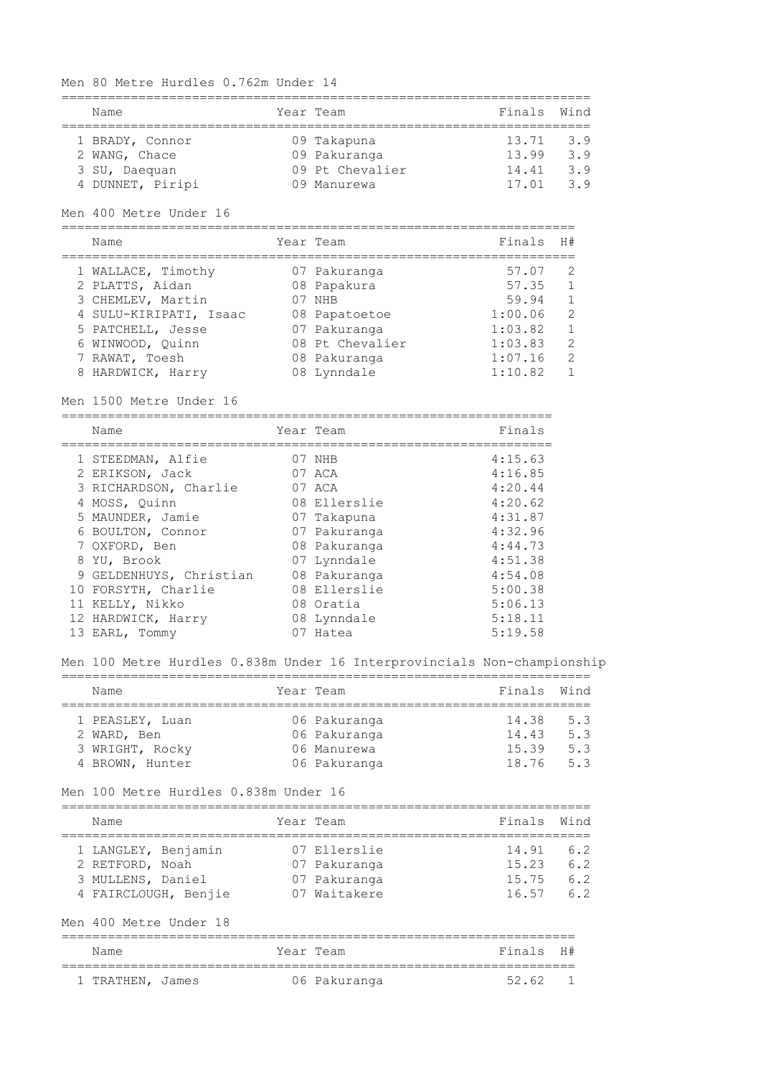## Men 80 Metre Hurdles 0.762m Under 14

| Name             | Year Team |                 | Finals Wind |     |
|------------------|-----------|-----------------|-------------|-----|
|                  |           |                 |             |     |
| 1 BRADY, Connor  |           | 09 Takapuna     | 13.71       | 3.9 |
| 2 WANG, Chace    |           | 09 Pakuranga    | 13.99       | 3.9 |
| 3 SU, Daequan    |           | 09 Pt Chevalier | 14.41       | 3.9 |
| 4 DUNNET, Piripi |           | 09 Manurewa     | 17.01       | 39  |

#### Men 400 Metre Under 16

| Name                   | Year Team       | Finals  | H#            |
|------------------------|-----------------|---------|---------------|
| 1 WALLACE, Timothy     | 07 Pakuranga    | 57.07   |               |
| 2 PLATTS, Aidan        | 08 Papakura     | 57.35   |               |
| 3 CHEMLEV, Martin      | NHB             | 59.94   |               |
| 4 SULU-KIRIPATI, Isaac | 08 Papatoetoe   | 1:00.06 | $\mathcal{P}$ |
| 5 PATCHELL, Jesse      | 07 Pakuranga    | 1:03.82 |               |
| 6 WINWOOD, Ouinn       | 08 Pt Chevalier | 1:03.83 | $\mathcal{P}$ |
| 7 RAWAT, Toesh         | 08 Pakuranga    | 1:07.16 | $\mathcal{L}$ |
| 8 HARDWICK, Harry      | 08 Lynndale     | 1:10.82 |               |

#### Men 1500 Metre Under 16

================================================================ Name **South Strain Team** Primals Finals

| 1 STEEDMAN, Alfie       |  | 4:15.63                                                                                                                                                                          |
|-------------------------|--|----------------------------------------------------------------------------------------------------------------------------------------------------------------------------------|
| 2 ERIKSON, Jack         |  | 4:16.85                                                                                                                                                                          |
| 3 RICHARDSON, Charlie   |  | 4:20.44                                                                                                                                                                          |
| 4 MOSS, Ouinn           |  | 4:20.62                                                                                                                                                                          |
| 5 MAUNDER, Jamie        |  | 4:31.87                                                                                                                                                                          |
| 6 BOULTON, Connor       |  | 4:32.96                                                                                                                                                                          |
| 7 OXFORD, Ben           |  | 4:44.73                                                                                                                                                                          |
| 8 YU, Brook             |  | 4:51.38                                                                                                                                                                          |
| 9 GELDENHUYS, Christian |  | 4:54.08                                                                                                                                                                          |
| 10 FORSYTH, Charlie     |  | 5:00.38                                                                                                                                                                          |
| 11 KELLY, Nikko         |  | 5:06.13                                                                                                                                                                          |
| 12 HARDWICK, Harry      |  | 5:18.11                                                                                                                                                                          |
| 13 EARL, Tommy          |  | 5:19.58                                                                                                                                                                          |
|                         |  | 07 NHB<br>07 ACA<br>07 ACA<br>08 Ellerslie<br>07 Takapuna<br>07 Pakuranga<br>08 Pakuranga<br>07 Lynndale<br>08 Pakuranga<br>08 Ellerslie<br>08 Oratia<br>08 Lynndale<br>07 Hatea |

#### Men 100 Metre Hurdles 0.838m Under 16 Interprovincials Non-championship

| Name            | Year Team |              | Finals Wind |     |  |  |  |
|-----------------|-----------|--------------|-------------|-----|--|--|--|
|                 |           |              |             |     |  |  |  |
| 1 PEASLEY, Luan |           | 06 Pakuranga | 14.38       | 5.3 |  |  |  |
| 2 WARD, Ben     |           | 06 Pakuranga | 14.43       | 5.3 |  |  |  |
| 3 WRIGHT, Rocky |           | 06 Manurewa  | 15.39       | 5.3 |  |  |  |
| 4 BROWN, Hunter |           | 06 Pakuranga | 18.76       | 5.3 |  |  |  |

#### Men 100 Metre Hurdles 0.838m Under 16

| Name                 | Year Team    | Finals Wind |     |
|----------------------|--------------|-------------|-----|
|                      |              |             |     |
| 1 LANGLEY, Benjamin  | 07 Ellerslie | 14.91       | 6.2 |
| 2 RETFORD, Noah      | 07 Pakuranga | 15.23       | 6.2 |
| 3 MULLENS, Daniel    | 07 Pakuranga | 15.75       | 6.2 |
| 4 FAIRCLOUGH, Benjie | 07 Waitakere | 16.57       | 62  |

## Men 400 Metre Under 18

| Name             |  | Year Team    | Finals H# |  |
|------------------|--|--------------|-----------|--|
|                  |  |              |           |  |
| 1 TRATHEN, James |  | 06 Pakuranga | 52621     |  |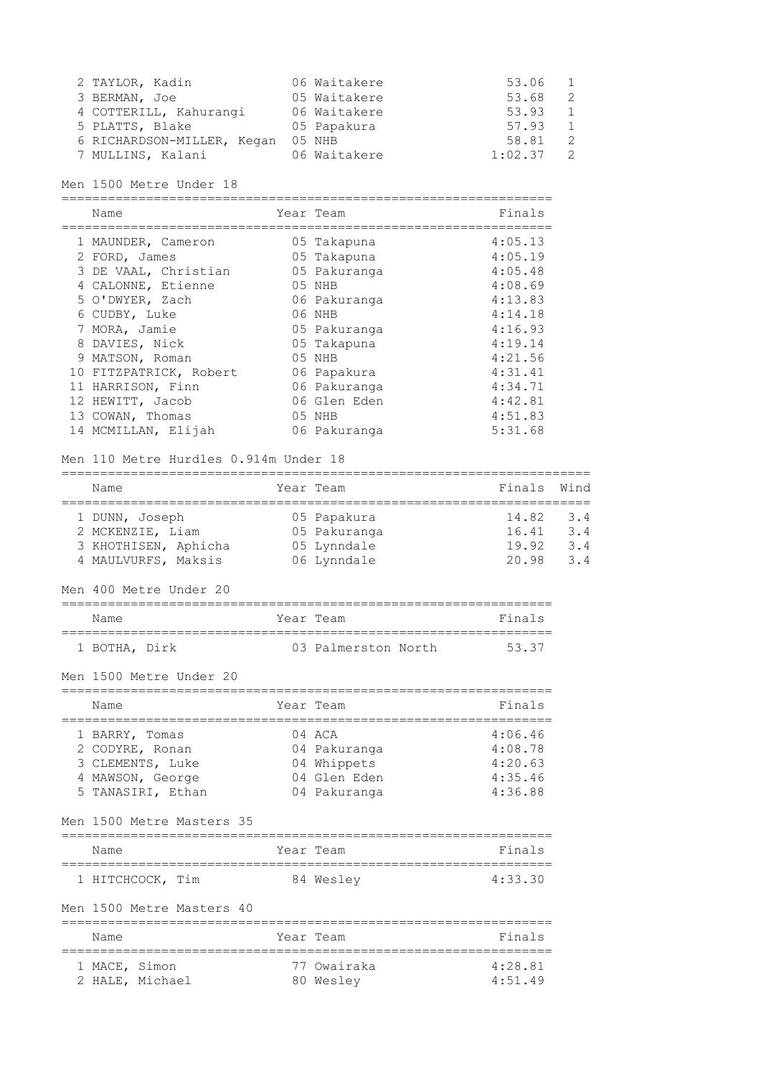| 2 TAYLOR, Kadin            | 06 Waitakere | 53.06   |               |
|----------------------------|--------------|---------|---------------|
| 3 BERMAN, Joe              | 05 Waitakere | 53.68   | $\mathcal{P}$ |
| 4 COTTERILL, Kahurangi     | 06 Waitakere | 53.93   |               |
| 5 PLATTS, Blake            | 05 Papakura  | 57.93   |               |
| 6 RICHARDSON-MILLER, Kegan | 05 NHB       | 58.81   | $\mathcal{D}$ |
| 7 MULLINS, Kalani          | 06 Waitakere | 1:02.37 |               |

# Men 1500 Metre Under 18

================================================================

| Name                   | Year Team    | Finals  |
|------------------------|--------------|---------|
| 1 MAUNDER, Cameron     | 05 Takapuna  | 4:05.13 |
| 2 FORD, James          | 05 Takapuna  | 4:05.19 |
| 3 DE VAAL, Christian   | 05 Pakuranga | 4:05.48 |
| 4 CALONNE, Etienne     | 05 NHB       | 4:08.69 |
| 5 O'DWYER, Zach        | 06 Pakuranga | 4:13.83 |
| 6 CUDBY, Luke          | 06 NHB       | 4:14.18 |
| 7 MORA, Jamie          | 05 Pakuranga | 4:16.93 |
| 8 DAVIES, Nick         | 05 Takapuna  | 4:19.14 |
| 9 MATSON, Roman        | 05 NHB       | 4:21.56 |
| 10 FITZPATRICK, Robert | 06 Papakura  | 4:31.41 |
| 11 HARRISON, Finn      | 06 Pakuranga | 4:34.71 |
| 12 HEWITT, Jacob       | 06 Glen Eden | 4:42.81 |
| 13 COWAN, Thomas       | 05 NHB       | 4:51.83 |
| 14 MCMILLAN, Elijah    | 06 Pakuranga | 5:31.68 |

#### Men 110 Metre Hurdles 0.914m Under 18

| Name                 | Year Team    | Finals Wind |                               |
|----------------------|--------------|-------------|-------------------------------|
|                      |              |             |                               |
| 1 DUNN, Joseph       | 05 Papakura  | 14.82       | 3.4                           |
| 2 MCKENZIE, Liam     | 05 Pakuranga | 16.41       | 3.4                           |
| 3 KHOTHISEN, Aphicha | 05 Lynndale  | 19.92       | $\mathbf{3} \cdot \mathbf{4}$ |
| 4 MAULVURFS, Maksis  | 06 Lynndale  | 20.98       | $\beta$ . 4                   |

## Men 400 Metre Under 20

| Name          |  | Year Team           | Finals |
|---------------|--|---------------------|--------|
|               |  |                     |        |
| 1 BOTHA, Dirk |  | 03 Palmerston North | 5337   |

## Men 1500 Metre Under 20

| Name                                                                                           | Year Team                                                             | Finals                                              |
|------------------------------------------------------------------------------------------------|-----------------------------------------------------------------------|-----------------------------------------------------|
| 1 BARRY, Tomas<br>2 CODYRE, Ronan<br>3 CLEMENTS, Luke<br>4 MAWSON, George<br>5 TANASIRI, Ethan | 04 ACA<br>04 Pakuranga<br>04 Whippets<br>04 Glen Eden<br>04 Pakuranga | 4:06.46<br>4:08.78<br>4:20.63<br>4:35.46<br>4:36.88 |
| Men 1500 Metre Masters 35                                                                      |                                                                       |                                                     |

| Name             |  | Year Team | Finals  |
|------------------|--|-----------|---------|
| 1 HITCHCOCK, Tim |  | 84 Weslev | 4:33.30 |

# Men 1500 Metre Masters 40

| Name          |                 | Year Team   | Finals    |
|---------------|-----------------|-------------|-----------|
| 1 MACE, Simon |                 | 77 Owairaka | $4.28$ 81 |
|               | 2 HALE, Michael | 80 Wesley   | 4.5149    |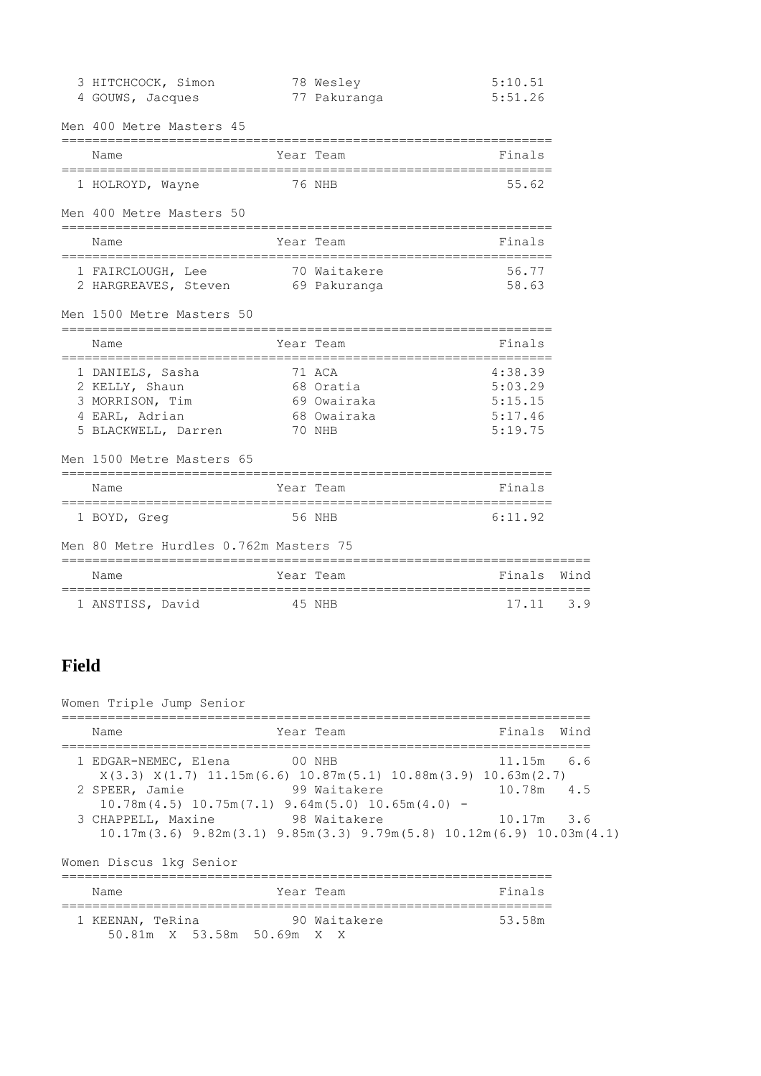| 3 HITCHCOCK, Simon<br>4 GOUWS, Jacques                                                         |        | 78 Wesley<br>77 Pakuranga                                   | 5:10.51<br>5:51.26                                  |      |
|------------------------------------------------------------------------------------------------|--------|-------------------------------------------------------------|-----------------------------------------------------|------|
| Men 400 Metre Masters 45                                                                       |        |                                                             |                                                     |      |
| ====================================<br>Name                                                   |        | Year Team                                                   | --------------------<br>Finals                      |      |
| 1 HOLROYD, Wayne                                                                               | 76 NHB |                                                             | 55.62                                               |      |
| Men 400 Metre Masters 50                                                                       |        |                                                             |                                                     |      |
| Name                                                                                           |        | Year Team                                                   | Finals                                              |      |
| 1 FAIRCLOUGH, Lee<br>2 HARGREAVES, Steven 69 Pakuranga                                         |        | 70 Waitakere                                                | 56.77<br>58.63                                      |      |
| Men 1500 Metre Masters 50                                                                      |        |                                                             |                                                     |      |
| Name                                                                                           |        | Year Team                                                   | Finals                                              |      |
| 1 DANIELS, Sasha<br>2 KELLY, Shaun<br>3 MORRISON, Tim<br>4 EARL, Adrian<br>5 BLACKWELL, Darren |        | 71 ACA<br>68 Oratia<br>69 Owairaka<br>68 Owairaka<br>70 NHB | 4:38.39<br>5:03.29<br>5:15.15<br>5:17.46<br>5:19.75 |      |
| Men 1500 Metre Masters 65                                                                      |        |                                                             |                                                     |      |
| Name                                                                                           |        | Year Team                                                   | Finals                                              |      |
| 1 BOYD, Greg                                                                                   |        | 56 NHB                                                      | 6:11.92                                             |      |
| Men 80 Metre Hurdles 0.762m Masters 75                                                         |        |                                                             |                                                     |      |
| Name                                                                                           |        | Year Team                                                   | Finals                                              | Wind |
| 1 ANSTISS, David                                                                               | 45 NHB |                                                             | 17.11                                               | 3.9  |

# **Field**

Women Triple Jump Senior ===================================================================== Name **The Year Team Finals** Wind ===================================================================== 1 EDGAR-NEMEC, Elena 00 NHB 11.15m 6.6 X(3.3) X(1.7) 11.15m(6.6) 10.87m(5.1) 10.88m(3.9) 10.63m(2.7) 2 SPEER, Jamie 99 Waitakere 10.78m 4.5 10.78m(4.5) 10.75m(7.1) 9.64m(5.0) 10.65m(4.0) - 3 CHAPPELL, Maxine 98 Waitakere 10.17m 3.6 10.17m(3.6) 9.82m(3.1) 9.85m(3.3) 9.79m(5.8) 10.12m(6.9) 10.03m(4.1) Women Discus 1kg Senior ================================================================ Name Year Team Name Finals ================================================================ 1 KEENAN, TeRina 30 Waitakere 53.58m 50.81m X 53.58m 50.69m X X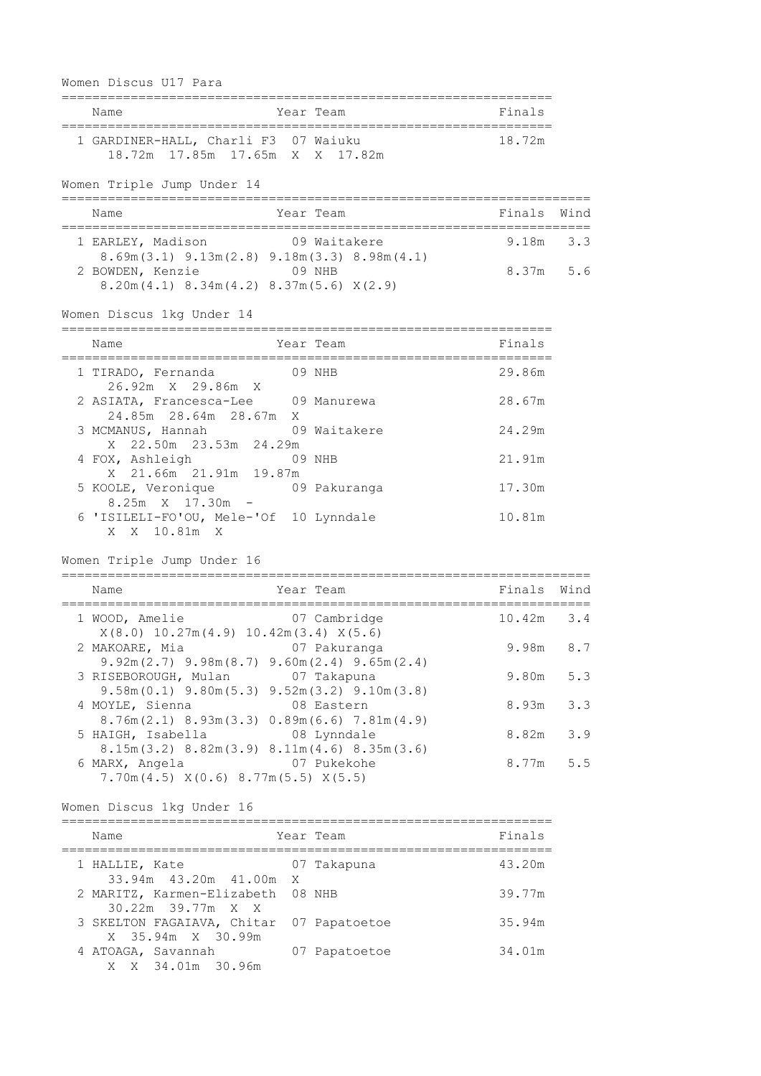| Women Discus U17 Para                                                                                                             |                               |     |
|-----------------------------------------------------------------------------------------------------------------------------------|-------------------------------|-----|
| Year Team<br>Name                                                                                                                 | Finals                        |     |
| 1 GARDINER-HALL, Charli F3 07 Waiuku<br>18.72m 17.85m 17.65m X X 17.82m                                                           | 18.72m                        |     |
| Women Triple Jump Under 14                                                                                                        | ============================= |     |
| Name<br>Year Team                                                                                                                 | Finals Wind                   |     |
| 1 EARLEY, Madison 09 Waitakere                                                                                                    | $9.18m$ $3.3$                 |     |
| $8.69m(3.1)$ $9.13m(2.8)$ $9.18m(3.3)$ $8.98m(4.1)$<br>2 BOWDEN, Kenzie 69 NHB<br>$8.20m(4.1)$ $8.34m(4.2)$ $8.37m(5.6)$ $X(2.9)$ | 8.37m 5.6                     |     |
| Women Discus 1kg Under 14                                                                                                         |                               |     |
| Year Team<br>Name                                                                                                                 | Finals                        |     |
| 09 NHB<br>1 TIRADO, Fernanda                                                                                                      | 29.86m                        |     |
| 26.92m X 29.86m X<br>2 ASIATA, Francesca-Lee 09 Manurewa                                                                          | 28.67m                        |     |
| 24.85m  28.64m  28.67m  X<br>3 MCMANUS, Hannah 09 Waitakere                                                                       | 24.29m                        |     |
| X 22.50m 23.53m 24.29m<br>4 FOX, Ashleigh 09 NHB                                                                                  | 21.91m                        |     |
| X 21.66m 21.91m 19.87m<br>5 KOOLE, Veronique 69 Pakuranga                                                                         | 17.30m                        |     |
| $8.25m \t X \t 17.30m -$<br>6 'ISILELI-FO'OU, Mele-'Of 10 Lynndale<br>X X 10.81m X                                                | 10.81m                        |     |
| Women Triple Jump Under 16                                                                                                        |                               |     |
| Year Team<br>Name                                                                                                                 | Finals Wind                   |     |
| 07 Cambridge<br>1 WOOD, Amelie                                                                                                    | $10.42m$ 3.4                  |     |
| $X(8.0)$ 10.27m $(4.9)$ 10.42m $(3.4)$ $X(5.6)$<br>2 MAKOARE, Mia<br>07 Pakuranga                                                 | 9.98m                         | 8.7 |
| $9.92m(2.7)$ $9.98m(8.7)$ $9.60m(2.4)$ $9.65m(2.4)$<br>3 RISEBOROUGH, Mulan<br>07 Takapuna                                        | $9.80m$ 5.3                   |     |
| $9.58m(0.1)$ $9.80m(5.3)$ $9.52m(3.2)$ $9.10m(3.8)$<br>08 Eastern<br>4 MOYLE, Sienna                                              | $8.93m$ $3.3$                 |     |
| 8.76m (2.1) 8.93m (3.3) 0.89m (6.6) 7.81m (4.9)<br>08 Lynndale<br>5 HAIGH, Isabella                                               | $8.82m$ 3.9                   |     |
| $8.15m(3.2)$ $8.82m(3.9)$ $8.11m(4.6)$ $8.35m(3.6)$<br>07 Pukekohe<br>6 MARX, Angela<br>7.70m(4.5) X(0.6) 8.77m(5.5) X(5.5)       | $8.77m$ 5.5                   |     |
| Women Discus 1kg Under 16                                                                                                         |                               |     |
| Name<br>Year Team                                                                                                                 | Finals                        |     |
| 07 Takapuna<br>1 HALLIE, Kate                                                                                                     | 43.20m                        |     |
| 33.94m 43.20m 41.00m<br>X.<br>2 MARITZ, Karmen-Elizabeth<br>08 NHB                                                                | 39.77m                        |     |
| 30.22m 39.77m X X<br>3 SKELTON FAGAIAVA, Chitar 07 Papatoetoe<br>X 35.94m X 30.99m                                                | 35.94m                        |     |

4 ATOAGA, Savannah 07 Papatoetoe 34.01m

X X 34.01m 30.96m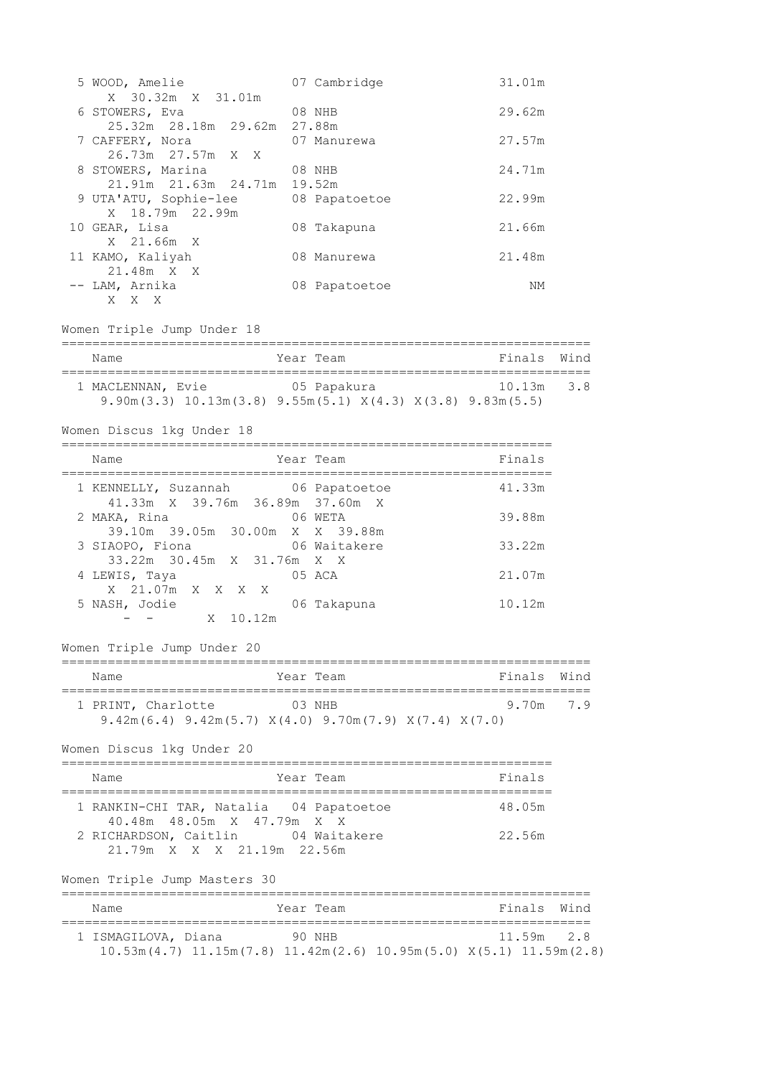| 5 WOOD, Amelie                                                                                               | 07 Cambridge                          | 31.01m      |      |
|--------------------------------------------------------------------------------------------------------------|---------------------------------------|-------------|------|
| X 30.32m X 31.01m<br>6 STOWERS, Eva                                                                          | 08 NHB                                | 29.62m      |      |
|                                                                                                              | 27.88m                                |             |      |
| 7 CAFFERY, Nora<br>26.73m 27.57m X X                                                                         | 07 Manurewa                           | 27.57m      |      |
| 8 STOWERS, Marina<br>21.91m  21.63m  24.71m                                                                  | 08 NHB<br>19.52m                      | 24.71m      |      |
| 9 UTA'ATU, Sophie-lee<br>X 18.79m 22.99m                                                                     | 08 Papatoetoe                         | 22.99m      |      |
| 10 GEAR, Lisa<br>X 21.66m X                                                                                  | 08 Takapuna                           | 21.66m      |      |
| 11 KAMO, Kaliyah<br>21.48m X X                                                                               | 08 Manurewa                           | 21.48m      |      |
| -- LAM, Arnika<br>X X X                                                                                      | 08 Papatoetoe                         | NΜ          |      |
| Women Triple Jump Under 18                                                                                   |                                       |             |      |
| Name                                                                                                         | Year Team                             | Finals Wind |      |
| 1 MACLENNAN, Evie 65 Papakura<br>9.90m (3.3) $10.13m(3.8)$ 9.55m (5.1) $X(4.3)$ $X(3.8)$ 9.83m (5.5)         |                                       | 10.13m 3.8  |      |
| Women Discus 1kg Under 18                                                                                    |                                       |             |      |
| Name<br>-------------------------------------                                                                | Year Team<br>======================== | Finals      |      |
| 1 KENNELLY, Suzannah 06 Papatoetoe<br>41.33m X 39.76m 36.89m 37.60m X                                        |                                       | 41.33m      |      |
| 2 MAKA, Rina<br>39.10m 39.05m 30.00m X X 39.88m                                                              | 06 WETA                               | 39.88m      |      |
| 3 SIAOPO, Fiona 600 06 Waitakere<br>33.22m 30.45m X 31.76m X X                                               |                                       | 33.22m      |      |
| 4 LEWIS, Taya<br>X 21.07m X X X X                                                                            | 05 ACA                                | 21.07m      |      |
| 5 NASH, Jodie<br>X 10.12m                                                                                    | 06 Takapuna                           | 10.12m      |      |
| Women Triple Jump Under 20                                                                                   |                                       |             |      |
| Name                                                                                                         | Year Team                             | Finals      | Wind |
| 03 NHB<br>1 PRINT, Charlotte<br>$9.42m(6.4)$ $9.42m(5.7)$ $X(4.0)$ $9.70m(7.9)$ $X(7.4)$ $X(7.0)$            |                                       | 9.70m       | 7.9  |
| Women Discus 1kg Under 20                                                                                    |                                       |             |      |
| Name                                                                                                         | Year Team                             | Finals      |      |
| 1 RANKIN-CHI TAR, Natalia 04 Papatoetoe<br>40.48m 48.05m X 47.79m X X                                        |                                       | 48.05m      |      |
| 2 RICHARDSON, Caitlin<br>21.79m X X X 21.19m 22.56m                                                          | 04 Waitakere                          | 22.56m      |      |
| Women Triple Jump Masters 30<br>===============================                                              |                                       |             |      |
| Name                                                                                                         | Year Team                             | Finals      | Wind |
| 1 ISMAGILOVA, Diana 90 NHB<br>$10.53m(4.7)$ $11.15m(7.8)$ $11.42m(2.6)$ $10.95m(5.0)$ $X(5.1)$ $11.59m(2.8)$ |                                       | 11.59m      | 2.8  |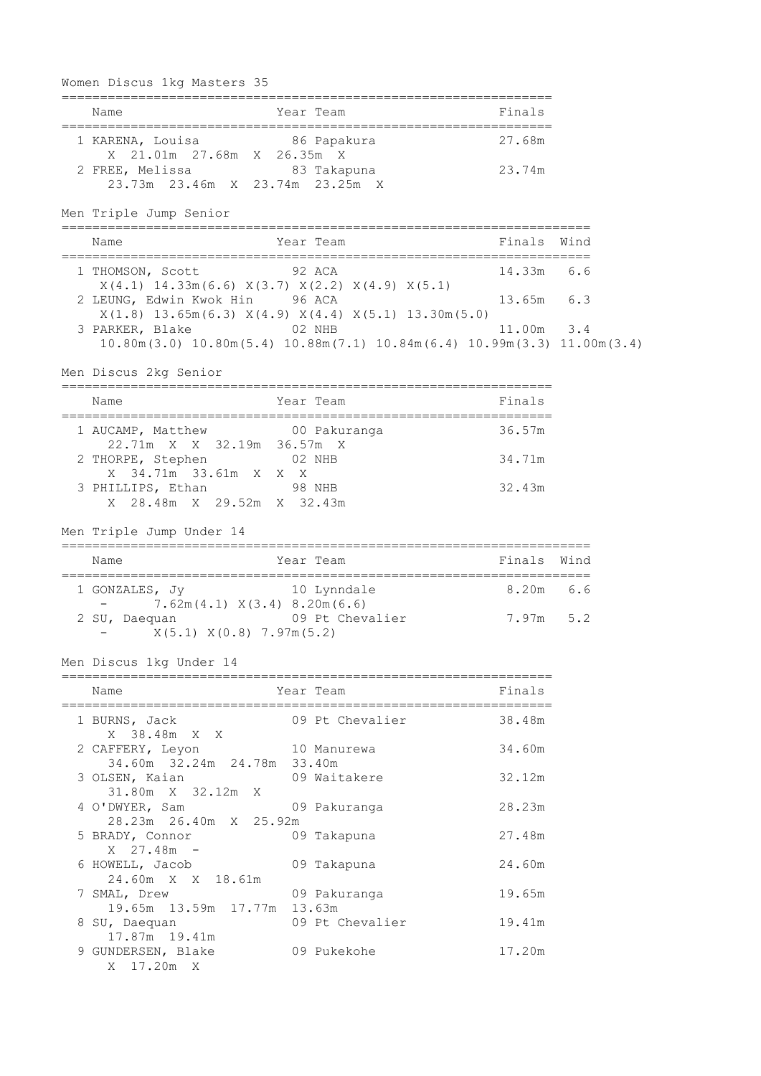| Women Discus 1kg Masters 35                                                                                                                               |        |                                   |             |     |
|-----------------------------------------------------------------------------------------------------------------------------------------------------------|--------|-----------------------------------|-------------|-----|
| Name                                                                                                                                                      |        | Year Team                         | Finals      |     |
| 1 KARENA, Louisa<br>X 21.01m 27.68m X 26.35m X                                                                                                            |        | 86 Papakura                       | 27.68m      |     |
| 2 FREE, Melissa 63 Takapuna<br>23.73m 23.46m X 23.74m 23.25m X                                                                                            |        |                                   | 23.74m      |     |
| Men Triple Jump Senior                                                                                                                                    |        | --------------------------------- |             |     |
| Name                                                                                                                                                      |        | Year Team<br>============         | Finals Wind |     |
| 1 THOMSON, Scott                                                                                                                                          |        | 92 ACA                            | 14.33m      | 6.6 |
| $X(4.1)$ 14.33m(6.6) $X(3.7)$ $X(2.2)$ $X(4.9)$ $X(5.1)$<br>2 LEUNG, Edwin Kwok Hin 96 ACA<br>$X(1.8)$ 13.65m(6.3) $X(4.9)$ $X(4.4)$ $X(5.1)$ 13.30m(5.0) |        |                                   | 13.65m 6.3  |     |
| 3 PARKER, Blake 02 NHB<br>$10.80m(3.0)$ $10.80m(5.4)$ $10.88m(7.1)$ $10.84m(6.4)$ $10.99m(3.3)$ $11.00m(3.4)$                                             |        |                                   | 11.00m 3.4  |     |
| Men Discus 2kg Senior                                                                                                                                     |        |                                   |             |     |
| Name                                                                                                                                                      |        | Year Team                         | Finals      |     |
| 1 AUCAMP, Matthew<br>22.71m X X 32.19m 36.57m X                                                                                                           |        | 00 Pakuranga                      | 36.57m      |     |
| 2 THORPE, Stephen<br>X 34.71m 33.61m X X X                                                                                                                | 02 NHB |                                   | 34.71m      |     |
| 3 PHILLIPS, Ethan 98 NHB<br>X 28.48m X 29.52m X 32.43m                                                                                                    |        |                                   | 32.43m      |     |
| Men Triple Jump Under 14                                                                                                                                  |        |                                   |             |     |
| Name                                                                                                                                                      |        | Year Team                         | Finals Wind |     |
| 1 GONZALES, Jy<br>10 Lynndale<br>$7.62m(4.1)$ $X(3.4)$ $8.20m(6.6)$                                                                                       |        |                                   | 8.20m 6.6   |     |
| 2 SU, Daequan<br>X(5.1) X(0.8) 7.97m(5.2)                                                                                                                 |        | 09 Pt Chevalier                   | $7.97m$ 5.2 |     |
| Men Discus 1kg Under 14                                                                                                                                   |        |                                   |             |     |
| Name                                                                                                                                                      |        | Year Team                         | Finals      |     |
| 1 BURNS, Jack                                                                                                                                             |        | 09 Pt Chevalier                   | 38.48m      |     |
| X 38.48m X X<br>2 CAFFERY, Leyon                                                                                                                          |        | 10 Manurewa                       | 34.60m      |     |
| 34.60m 32.24m 24.78m 33.40m<br>3 OLSEN, Kaian                                                                                                             |        | 09 Waitakere                      | 32.12m      |     |
| 31.80m X 32.12m X<br>4 O'DWYER, Sam                                                                                                                       |        | 09 Pakuranga                      | 28.23m      |     |
| 28.23m  26.40m  X  25.92m<br>5 BRADY, Connor<br>X 27.48m -                                                                                                |        | 09 Takapuna                       | 27.48m      |     |
| 6 HOWELL, Jacob<br>24.60m X X 18.61m                                                                                                                      |        | 09 Takapuna                       | 24.60m      |     |
| 7 SMAL, Drew<br>19.65m 13.59m 17.77m 13.63m                                                                                                               |        | 09 Pakuranga                      | 19.65m      |     |
| 8 SU, Daequan<br>17.87m  19.41m                                                                                                                           |        | 09 Pt Chevalier                   | 19.41m      |     |
| 9 GUNDERSEN, Blake<br>X 17.20m X                                                                                                                          |        | 09 Pukekohe                       | 17.20m      |     |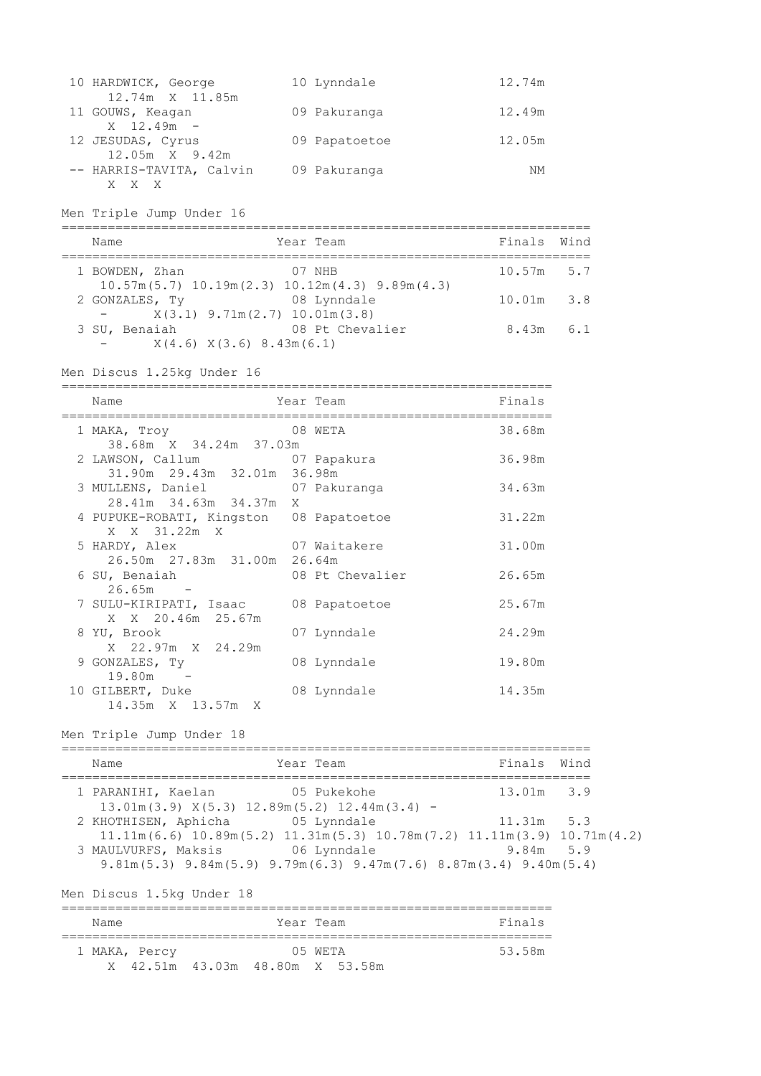| 10 HARDWICK, George      | 10 Lynndale   | 12.74m |
|--------------------------|---------------|--------|
| 12.74m X 11.85m          |               |        |
| 11 GOUWS, Keagan         | 09 Pakuranga  | 12.49m |
| $X = 12.49m -$           |               |        |
| 12 JESUDAS, Cyrus        | 09 Papatoetoe | 12.05m |
| 12.05m X 9.42m           |               |        |
| -- HARRIS-TAVITA, Calvin | 09 Pakuranga  | NΜ     |
|                          |               |        |

Men Triple Jump Under 16

| Name                                                    | Year Team                                                                        | Finals Wind   |  |
|---------------------------------------------------------|----------------------------------------------------------------------------------|---------------|--|
| 1 BOWDEN, Zhan                                          | 07 NHB<br>$10.57$ m $(5.7)$ $10.19$ m $(2.3)$ $10.12$ m $(4.3)$ $9.89$ m $(4.3)$ | $10.57m$ 5.7  |  |
| 2 GONZALES, TV<br>$X(3,1)$ 9.71m $(2,7)$ 10.01m $(3,8)$ | 08 Lynndale                                                                      | $10.01m$ 3.8  |  |
| 3 SU, Benaiah<br>X(4.6) X(3.6) 8.43m(6.1)               | 08 Pt Chevalier                                                                  | $8.43m$ $6.1$ |  |
|                                                         |                                                                                  |               |  |

Men Discus 1.25kg Under 16

| Name                                    | Year Team       | Finals |
|-----------------------------------------|-----------------|--------|
| 1 MAKA, Troy                            | 08 WETA         | 38.68m |
| 38.68m X 34.24m 37.03m                  |                 |        |
| 2 LAWSON, Callum 07 Papakura            |                 | 36.98m |
| 31.90m 29.43m 32.01m 36.98m             |                 |        |
| 3 MULLENS, Daniel 67 Pakuranga          |                 | 34.63m |
| 28.41m 34.63m 34.37m X                  |                 |        |
| 4 PUPUKE-ROBATI, Kingston 08 Papatoetoe |                 | 31.22m |
| X X 31.22m X                            |                 |        |
| 07 Waitakere<br>5 HARDY, Alex           |                 | 31.00m |
| 26.50m 27.83m 31.00m 26.64m             |                 |        |
| 6 SU, Benaiah                           | 08 Pt Chevalier | 26.65m |
| $26.65m -$                              |                 |        |
| 7 SULU-KIRIPATI, Isaac 08 Papatoetoe    |                 | 25.67m |
| X X 20.46m 25.67m                       |                 |        |
| 8 YU, Brook                             | 07 Lynndale     | 24.29m |
| X 22.97m X 24.29m                       |                 |        |
|                                         |                 | 19.80m |
| 9 GONZALES, Ty                          | 08 Lynndale     |        |
| $19.80m -$                              |                 |        |
| 10 GILBERT, Duke                        | 08 Lynndale     | 14.35m |
| 14.35m X 13.57m X                       |                 |        |

Men Triple Jump Under 18

===================================================================== Name **South States Area** Year Team **Manual States Contracts** Finals Wind ===================================================================== 1 PARANIHI, Kaelan 05 Pukekohe 13.01m 3.9 13.01m(3.9) X(5.3) 12.89m(5.2) 12.44m(3.4) - 2 KHOTHISEN, Aphicha 05 Lynndale 11.31m 5.3  $11.11\text{m}(6.6)$   $10.89\text{m}(5.2)$   $11.31\text{m}(5.3)$   $10.78\text{m}(7.2)$   $11.11\text{m}(3.9)$   $10.71\text{m}(4.2)$  3 MAULVURFS, Maksis 06 Lynndale 9.84m 5.9 9.81m(5.3) 9.84m(5.9) 9.79m(6.3) 9.47m(7.6) 8.87m(3.4) 9.40m(5.4) Men Discus 1.5kg Under 18 ================================================================ Name Year Team Finals ================================================================

 1 MAKA, Percy 05 WETA 53.58m X 42.51m 43.03m 48.80m X 53.58m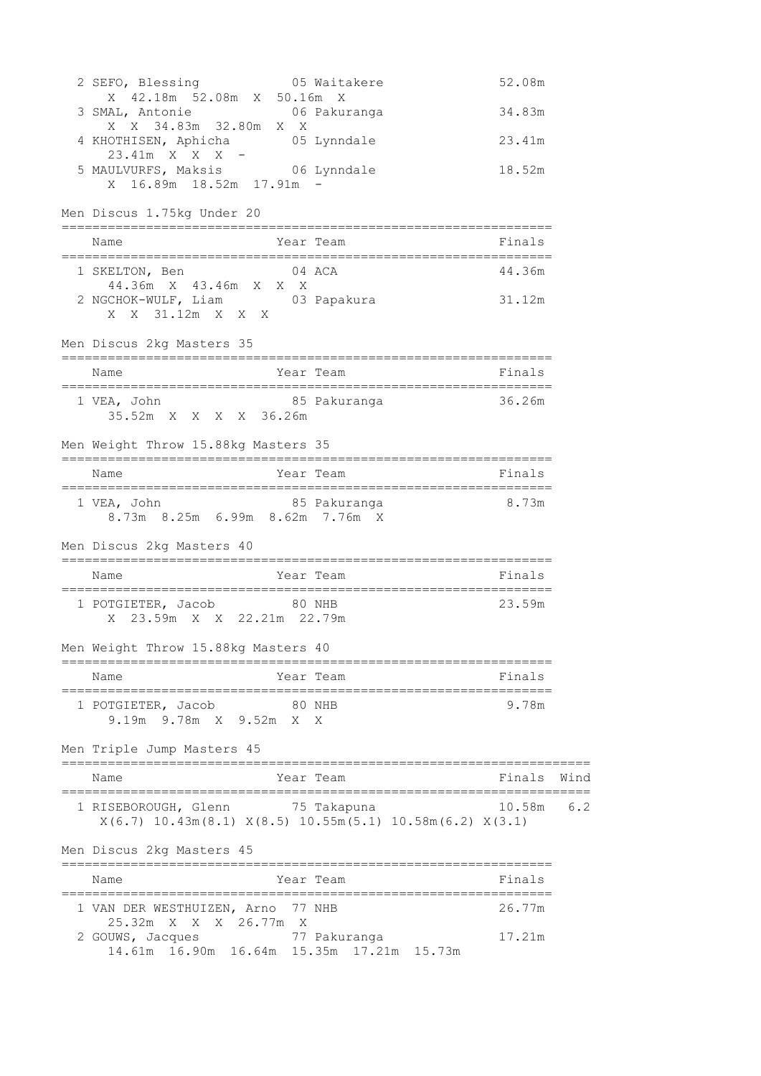| 2 SEFO, Blessing 05 Waitakere<br>X 42.18m 52.08m X 50.16m X                                                 | 52.08m                   |      |
|-------------------------------------------------------------------------------------------------------------|--------------------------|------|
| 3 SMAL, Antonie 106 Pakuranga                                                                               | 34.83m                   |      |
| X X 34.83m 32.80m X X<br>4 KHOTHISEN, Aphicha 65 Lynndale                                                   | 23.41m                   |      |
| $23.41m$ X X X -<br>5 MAULVURFS, Maksis 66 Lynndale<br>X 16.89m 18.52m 17.91m -                             | 18.52m                   |      |
| Men Discus 1.75kg Under 20                                                                                  |                          |      |
| Name<br>Year Team                                                                                           | <b>Example 18</b> Finals |      |
| 1 SKELTON, Ben 04 ACA<br>44.36m x 43.46m x x x                                                              | 44.36m                   |      |
| 2 NGCHOK-WULF, Liam 03 Papakura<br>X X 31.12m X X X                                                         | 31.12m                   |      |
| Men Discus 2kg Masters 35                                                                                   |                          |      |
| Year Team<br>Name                                                                                           | Finals                   |      |
| 1 VEA, John 85 Pakuranga 36.26m<br>35.52m X X X X 36.26m                                                    |                          |      |
| Men Weight Throw 15.88kg Masters 35                                                                         |                          |      |
| Name<br>Year Team                                                                                           | <b>Einals</b>            |      |
| 8.73m 8.25m 6.99m 8.62m 7.76m X                                                                             |                          |      |
| Men Discus 2kg Masters 40                                                                                   |                          |      |
| Year Team<br>Name                                                                                           | Finals                   |      |
| 1 POTGIETER, Jacob 80 NHB<br>X 23.59m X X 22.21m 22.79m                                                     | 23.59m                   |      |
| Men Weight Throw 15.88kg Masters 40                                                                         |                          |      |
| Year Team<br>Name                                                                                           | Finals                   |      |
| 1 POTGIETER, Jacob<br>80 NHB<br>9.19m 9.78m X 9.52m X X                                                     | 9.78m                    |      |
| Men Triple Jump Masters 45                                                                                  |                          |      |
| Year Team<br>Name                                                                                           | Finals                   | Wind |
| 1 RISEBOROUGH, Glenn 75 Takapuna<br>$X(6.7)$ 10.43m $(8.1)$ $X(8.5)$ 10.55m $(5.1)$ 10.58m $(6.2)$ $X(3.1)$ | 10.58m                   | 6.2  |
| Men Discus 2kg Masters 45                                                                                   |                          |      |
| Year Team<br>Name                                                                                           | Finals                   |      |
| 1 VAN DER WESTHUIZEN, Arno 77 NHB<br>25.32m X X X 26.77m X                                                  | 26.77m                   |      |
| 2 GOUWS, Jacques<br>77 Pakuranga<br>14.61m 16.90m 16.64m 15.35m 17.21m 15.73m                               | 17.21m                   |      |